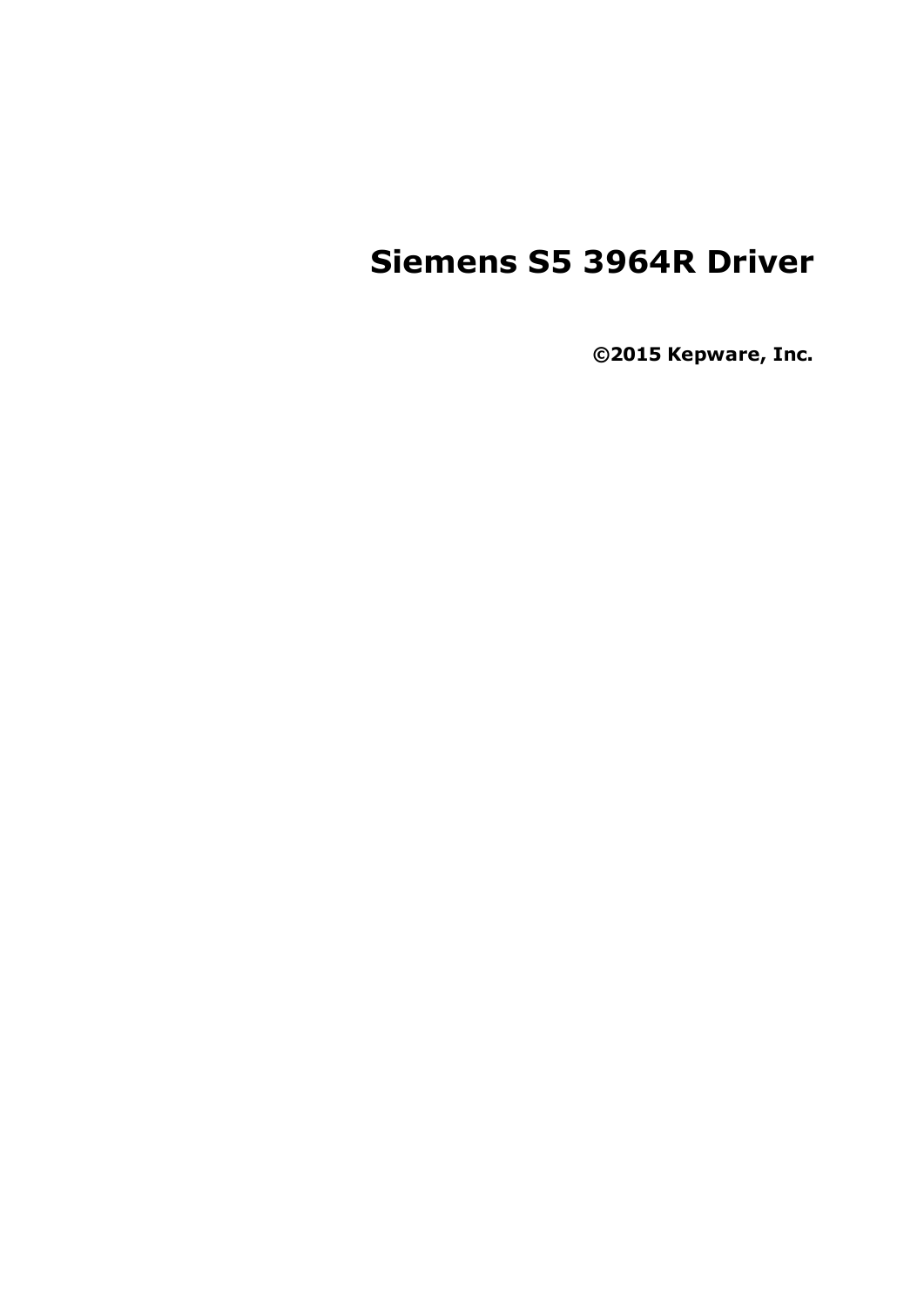# **Siemens S5 3964R Driver**

**©2015 Kepware, Inc.**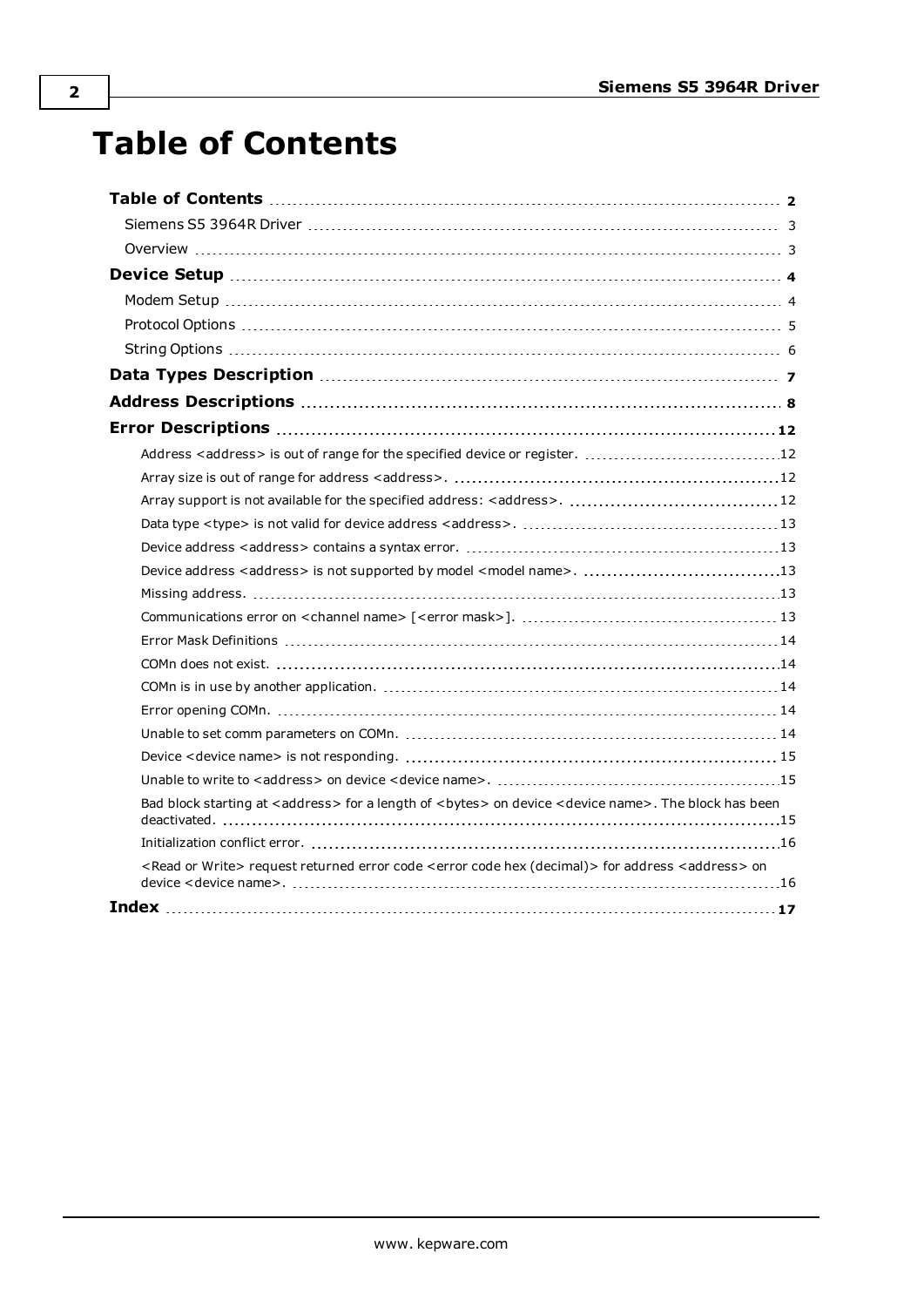# <span id="page-1-0"></span>**Table of Contents**

| Bad block starting at <address> for a length of <bytes> on device <device name="">. The block has been</device></bytes></address>       |  |
|-----------------------------------------------------------------------------------------------------------------------------------------|--|
|                                                                                                                                         |  |
| <read or="" write=""> request returned error code <error (decimal)="" code="" hex=""> for address <address> on</address></error></read> |  |
|                                                                                                                                         |  |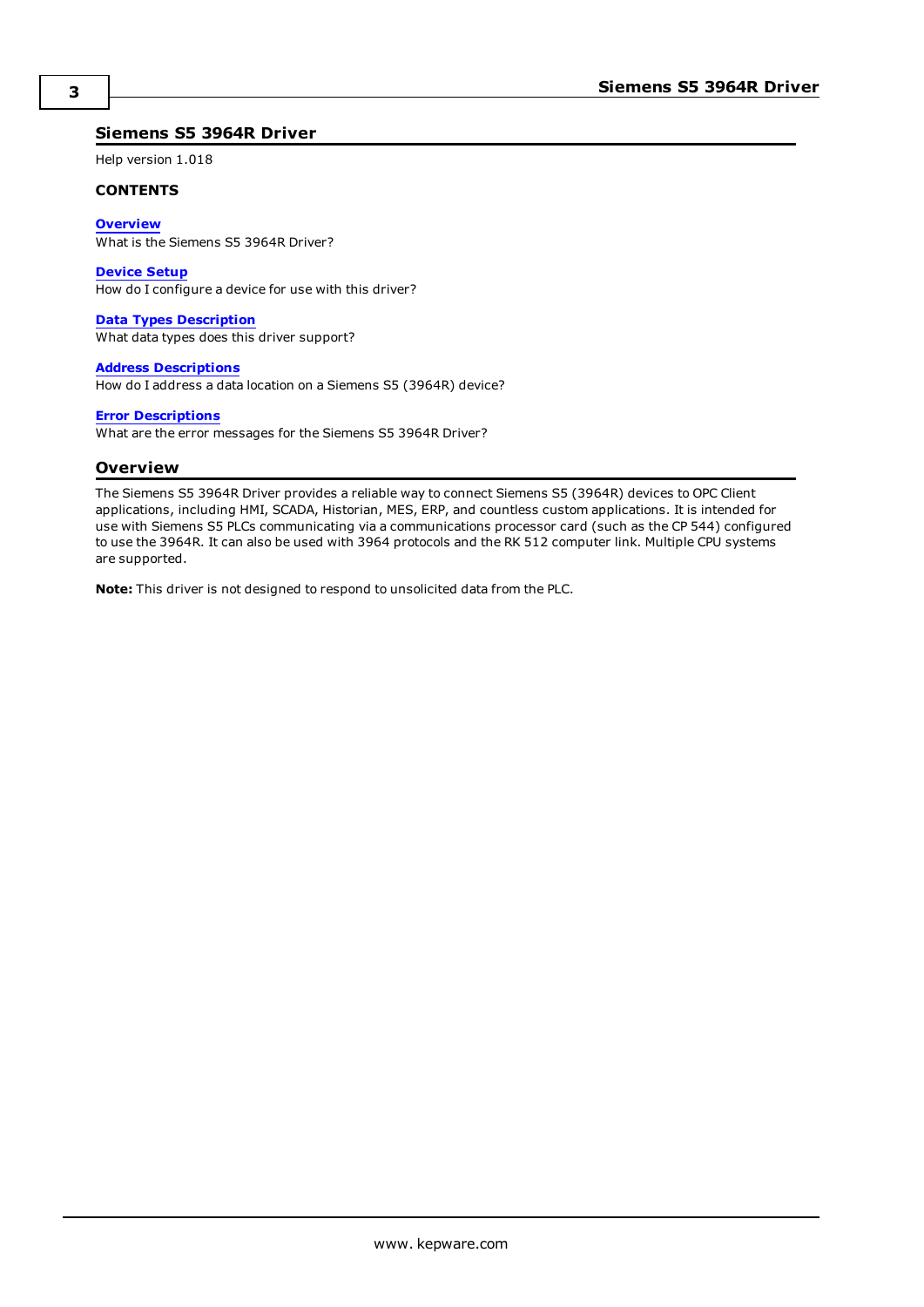### <span id="page-2-0"></span>**Siemens S5 3964R Driver**

Help version 1.018

#### **CONTENTS**

**[Overview](#page-2-1)**

What is the Siemens S5 3964R Driver?

#### **[Device](#page-3-0) Setup**

How do I configure a device for use with this driver?

#### **Data Types [Description](#page-6-0)**

What data types does this driver support?

#### **Address [Descriptions](#page-7-0)**

How do I address a data location on a Siemens S5 (3964R) device?

#### **Error [Descriptions](#page-11-0)**

<span id="page-2-1"></span>What are the error messages for the Siemens S5 3964R Driver?

### **Overview**

The Siemens S5 3964R Driver provides a reliable way to connect Siemens S5 (3964R) devices to OPC Client applications, including HMI, SCADA, Historian, MES, ERP, and countless custom applications. It is intended for use with Siemens S5 PLCs communicating via a communications processor card (such as the CP 544) configured to use the 3964R. It can also be used with 3964 protocols and the RK 512 computer link. Multiple CPU systems are supported.

**Note:** This driver is not designed to respond to unsolicited data from the PLC.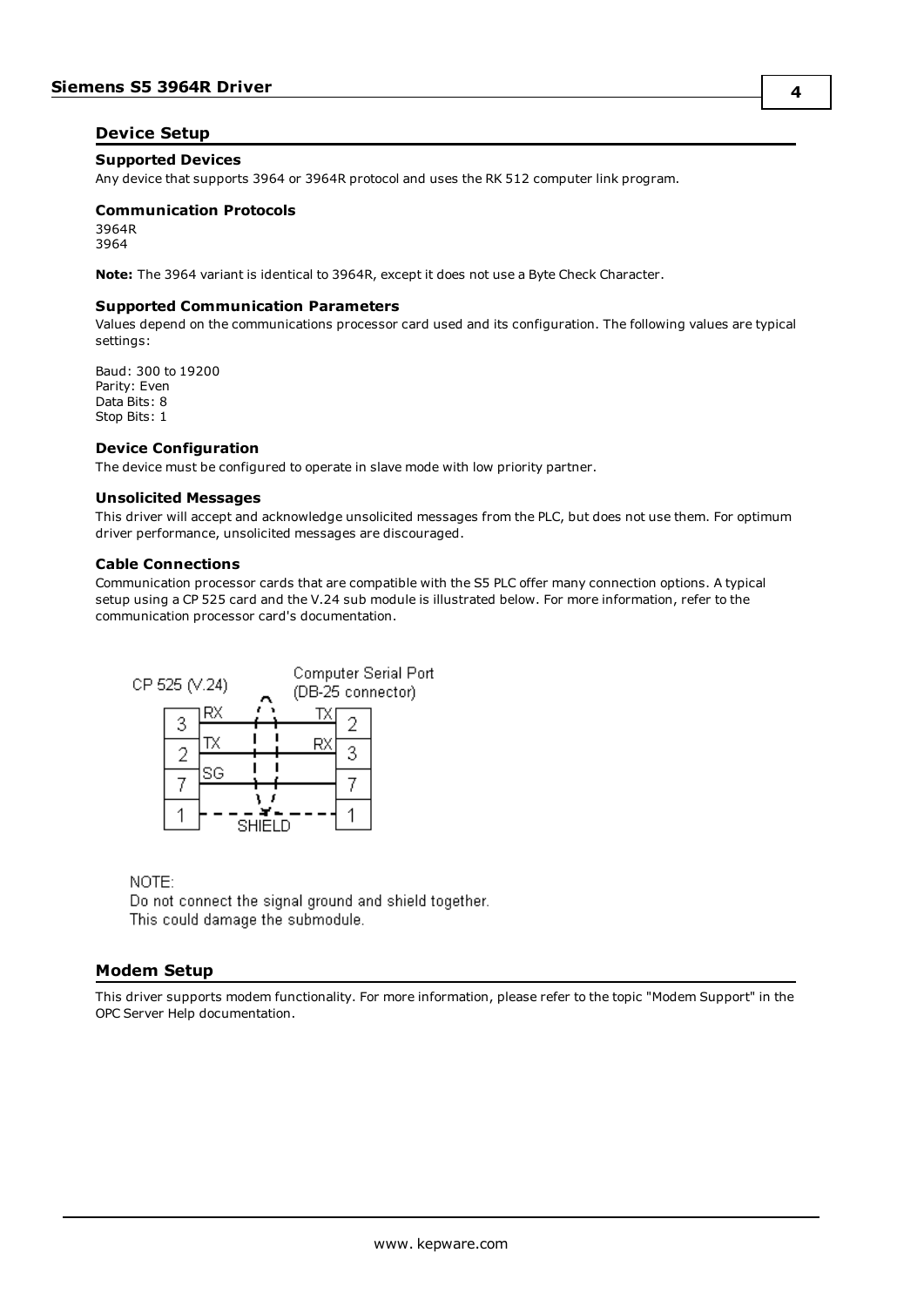## <span id="page-3-0"></span>**Device Setup**

#### **Supported Devices**

Any device that supports 3964 or 3964R protocol and uses the RK 512 computer link program.

## **Communication Protocols**

3964R 3964

**Note:** The 3964 variant is identical to 3964R, except it does not use a Byte Check Character.

#### **Supported Communication Parameters**

Values depend on the communications processor card used and its configuration. The following values are typical settings:

Baud: 300 to 19200 Parity: Even Data Bits: 8 Stop Bits: 1

#### **Device Configuration**

The device must be configured to operate in slave mode with low priority partner.

#### **Unsolicited Messages**

This driver will accept and acknowledge unsolicited messages from the PLC, but does not use them. For optimum driver performance, unsolicited messages are discouraged.

#### **Cable Connections**

Communication processor cards that are compatible with the S5 PLC offer many connection options. A typical setup using a CP 525 card and the V.24 sub module is illustrated below. For more information, refer to the communication processor card's documentation.



# NOTE:

Do not connect the signal ground and shield together. This could damage the submodule.

### <span id="page-3-1"></span>**Modem Setup**

This driver supports modem functionality. For more information, please refer to the topic "Modem Support" in the OPC Server Help documentation.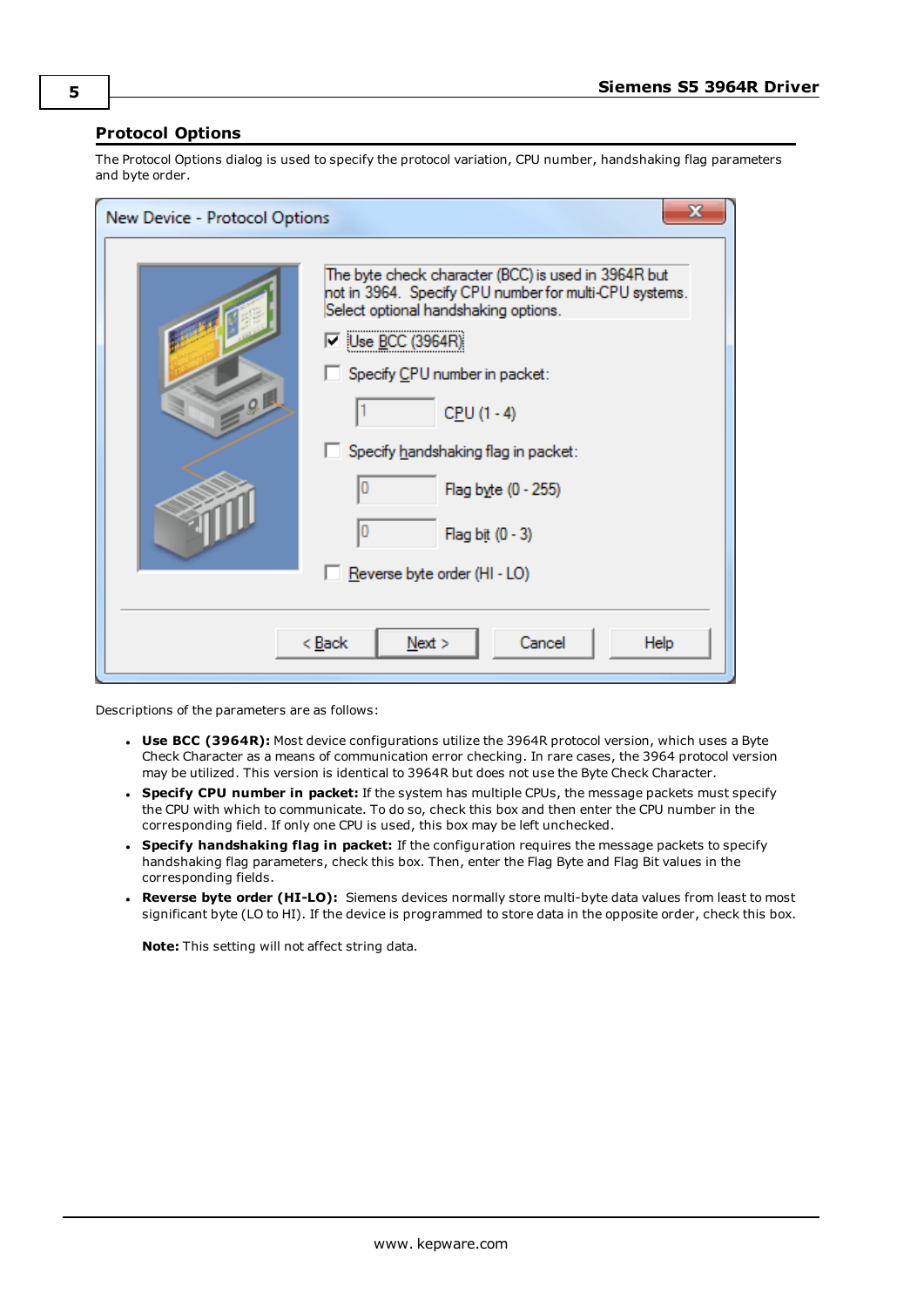# <span id="page-4-0"></span>**Protocol Options**

The Protocol Options dialog is used to specify the protocol variation, CPU number, handshaking flag parameters and byte order.

| New Device - Protocol Options            | $\mathbf{x}$                                                                                                                                                                                                                                                                                                                                             |  |
|------------------------------------------|----------------------------------------------------------------------------------------------------------------------------------------------------------------------------------------------------------------------------------------------------------------------------------------------------------------------------------------------------------|--|
| ΩB                                       | The byte check character (BCC) is used in 3964R but<br>not in 3964. Specify CPU number for multi-CPU systems.<br>Select optional handshaking options.<br>厂  Use <u>B</u> CC (3964R) <br>Specify CPU number in packet:<br>$CPU (1 - 4)$<br>Specify handshaking flag in packet:<br>Flag byte (0 - 255)<br>Flag bit (0 - 3)<br>Reverse byte order (HI - LO) |  |
| < <u>B</u> ack<br>Cancel<br>Next<br>Help |                                                                                                                                                                                                                                                                                                                                                          |  |

Descriptions of the parameters are as follows:

- **· Use BCC (3964R):** Most device configurations utilize the 3964R protocol version, which uses a Byte Check Character as a means of communication error checking. In rare cases, the 3964 protocol version may be utilized. This version is identical to 3964R but does not use the Byte Check Character.
- <sup>l</sup> **Specify CPU number in packet:** If the system has multiple CPUs, the message packets must specify the CPU with which to communicate. To do so, check this box and then enter the CPU number in the corresponding field. If only one CPU is used, this box may be left unchecked.
- <sup>l</sup> **Specify handshaking flag in packet:** If the configuration requires the message packets to specify handshaking flag parameters, check this box. Then, enter the Flag Byte and Flag Bit values in the corresponding fields.
- <sup>l</sup> **Reverse byte order (HI-LO):** Siemens devices normally store multi-byte data values from least to most significant byte (LO to HI). If the device is programmed to store data in the opposite order, check this box.

**Note:** This setting will not affect string data.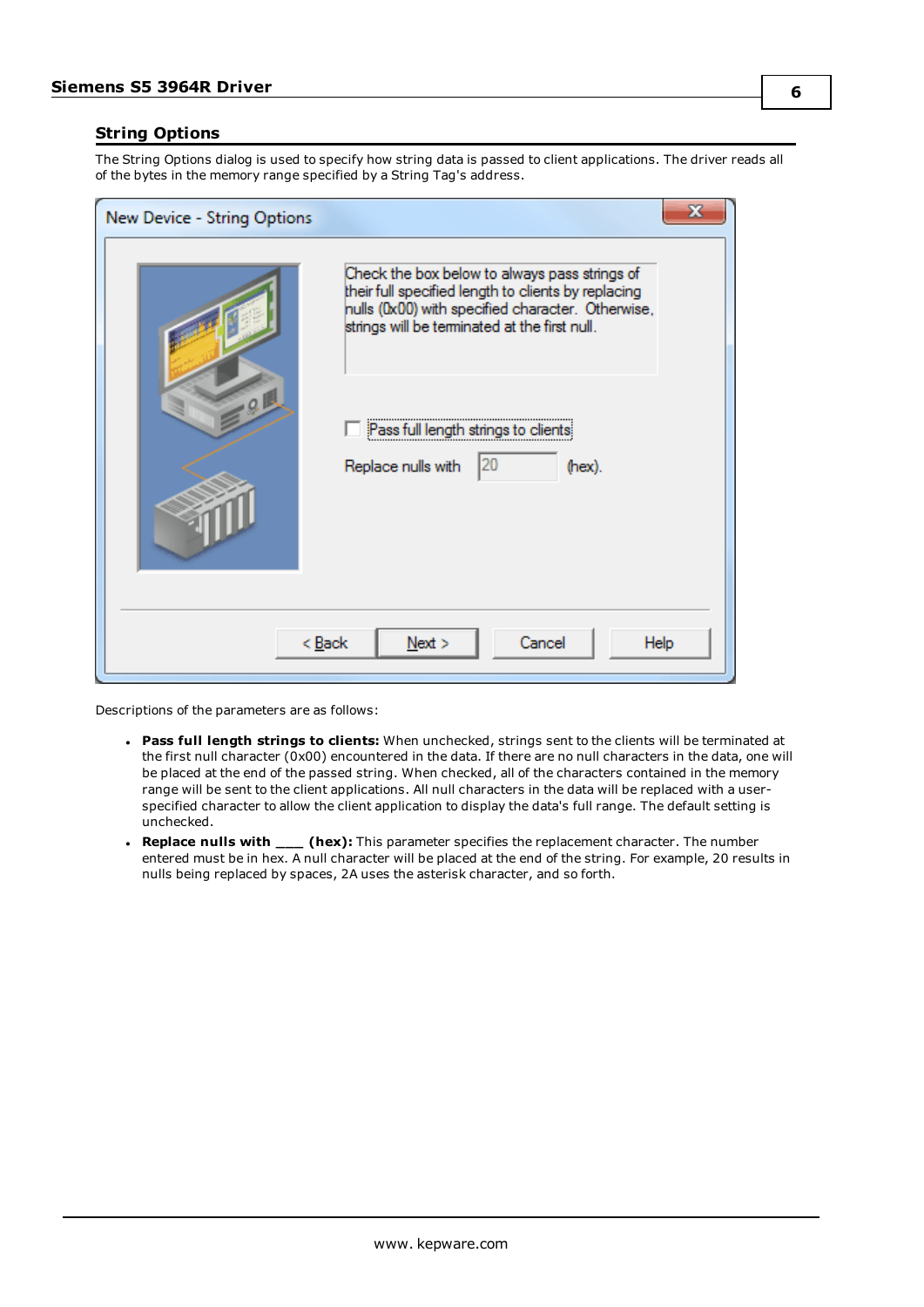## <span id="page-5-0"></span>**String Options**

The String Options dialog is used to specify how string data is passed to client applications. The driver reads all of the bytes in the memory range specified by a String Tag's address.

| New Device - String Options              | х                                                                                                                                                                                                          |  |  |  |  |
|------------------------------------------|------------------------------------------------------------------------------------------------------------------------------------------------------------------------------------------------------------|--|--|--|--|
|                                          | Check the box below to always pass strings of<br>their full specified length to clients by replacing<br>nulls (0x00) with specified character. Otherwise,<br>strings will be terminated at the first null. |  |  |  |  |
| $-0$                                     | Pass full length strings to clients                                                                                                                                                                        |  |  |  |  |
|                                          | 120<br>Replace nulls with<br>(hex).                                                                                                                                                                        |  |  |  |  |
| Cancel<br>Next<br>< <u>B</u> ack<br>Help |                                                                                                                                                                                                            |  |  |  |  |

Descriptions of the parameters are as follows:

- <sup>l</sup> **Pass full length strings to clients:** When unchecked, strings sent to the clients will be terminated at the first null character (0x00) encountered in the data. If there are no null characters in the data, one will be placed at the end of the passed string. When checked, all of the characters contained in the memory range will be sent to the client applications. All null characters in the data will be replaced with a userspecified character to allow the client application to display the data's full range. The default setting is unchecked.
- <sup>l</sup> **Replace nulls with \_\_\_ (hex):** This parameter specifies the replacement character. The number entered must be in hex. A null character will be placed at the end of the string. For example, 20 results in nulls being replaced by spaces, 2A uses the asterisk character, and so forth.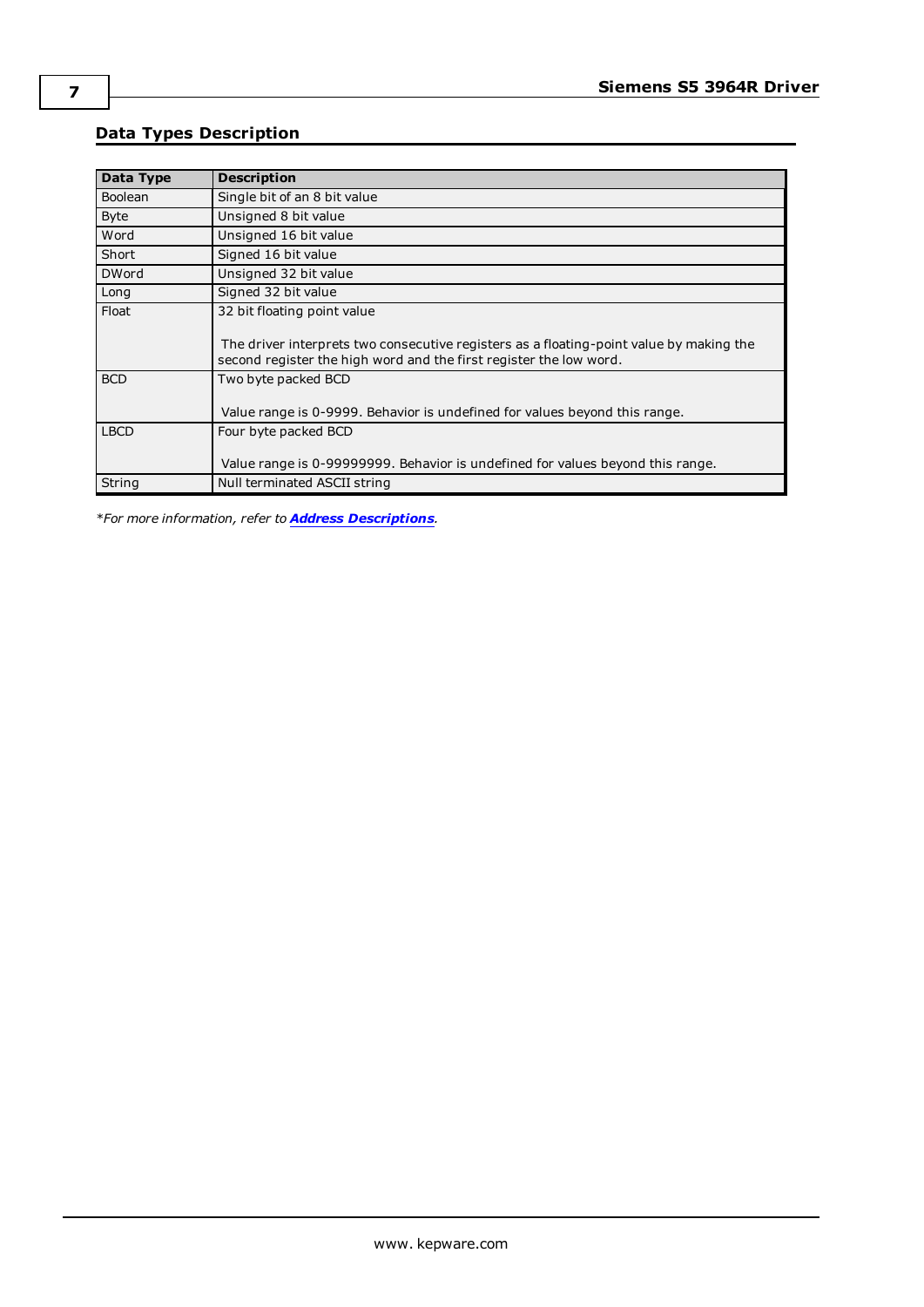# <span id="page-6-0"></span>**Data Types Description**

| <b>Data Type</b> | <b>Description</b>                                                                                                                                            |
|------------------|---------------------------------------------------------------------------------------------------------------------------------------------------------------|
| <b>Boolean</b>   | Single bit of an 8 bit value                                                                                                                                  |
| <b>Byte</b>      | Unsigned 8 bit value                                                                                                                                          |
| Word             | Unsigned 16 bit value                                                                                                                                         |
| Short            | Signed 16 bit value                                                                                                                                           |
| <b>DWord</b>     | Unsigned 32 bit value                                                                                                                                         |
| Long             | Signed 32 bit value                                                                                                                                           |
| Float            | 32 bit floating point value                                                                                                                                   |
|                  | The driver interprets two consecutive registers as a floating-point value by making the<br>second register the high word and the first register the low word. |
| <b>BCD</b>       | Two byte packed BCD                                                                                                                                           |
|                  | Value range is 0-9999. Behavior is undefined for values beyond this range.                                                                                    |
| <b>LBCD</b>      | Four byte packed BCD                                                                                                                                          |
|                  | Value range is 0-99999999. Behavior is undefined for values beyond this range.                                                                                |
| String           | Null terminated ASCII string                                                                                                                                  |

*\*For more information, refer to Address [Descriptions](#page-7-0).*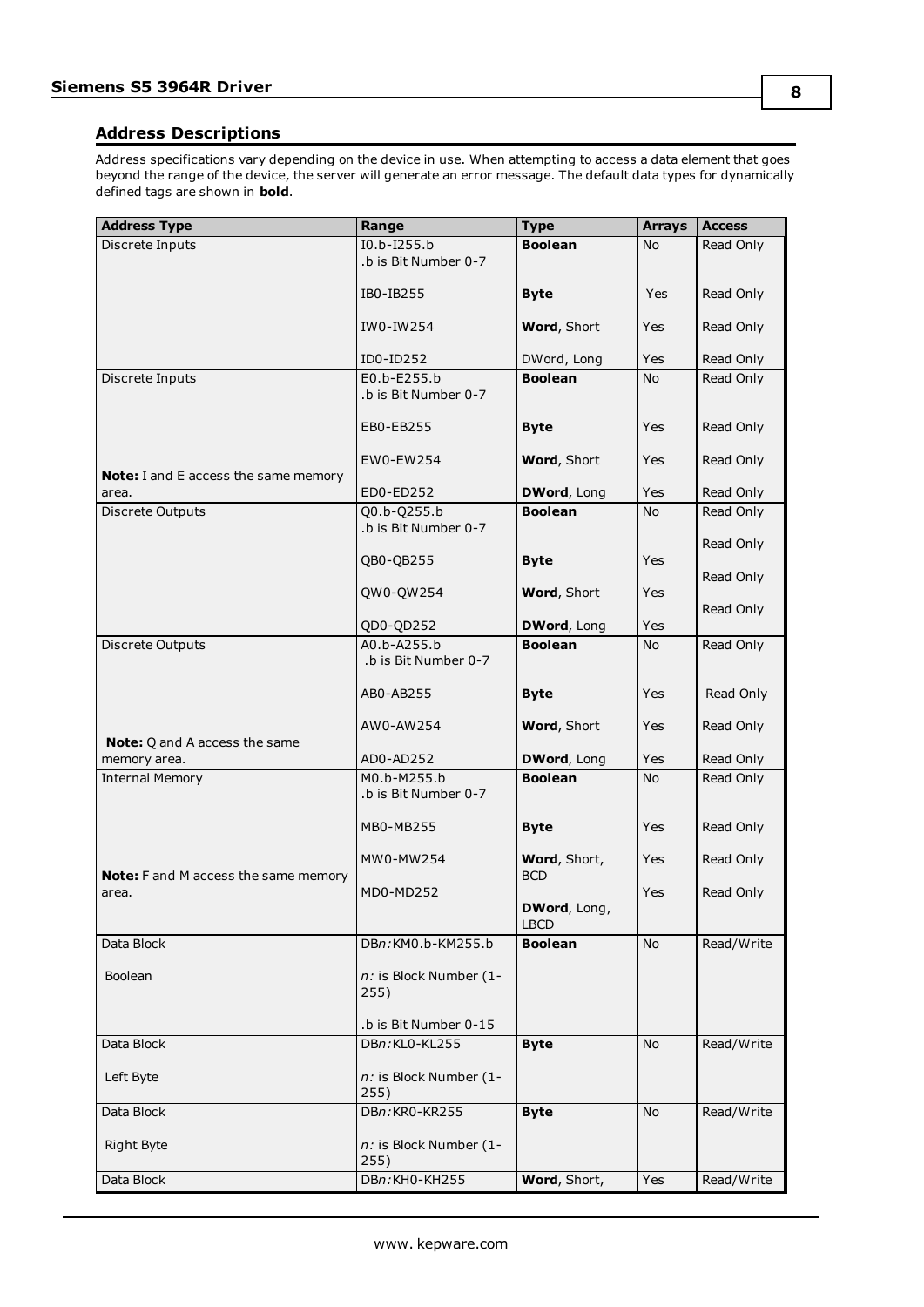# <span id="page-7-0"></span>**Address Descriptions**

Address specifications vary depending on the device in use. When attempting to access a data element that goes beyond the range of the device, the server will generate an error message. The default data types for dynamically defined tags are shown in **bold**.

| <b>Address Type</b>                         | Range                               | <b>Type</b>                   | <b>Arrays</b> | <b>Access</b> |
|---------------------------------------------|-------------------------------------|-------------------------------|---------------|---------------|
| Discrete Inputs                             | I0.b-I255.b                         | <b>Boolean</b>                | No            | Read Only     |
|                                             | .b is Bit Number 0-7                |                               |               |               |
|                                             |                                     |                               |               |               |
|                                             | IB0-IB255                           | <b>Byte</b>                   | Yes           | Read Only     |
|                                             | IW0-IW254                           | Word, Short                   | <b>Yes</b>    | Read Only     |
|                                             |                                     |                               |               |               |
|                                             | ID0-ID252                           | DWord, Long                   | Yes           | Read Only     |
| Discrete Inputs                             | E0.b-E255.b                         | <b>Boolean</b>                | No.           | Read Only     |
|                                             | .b is Bit Number 0-7                |                               |               |               |
|                                             | EB0-EB255                           | <b>Byte</b>                   | <b>Yes</b>    | Read Only     |
|                                             |                                     |                               |               |               |
|                                             | EW0-EW254                           | Word, Short                   | <b>Yes</b>    | Read Only     |
| <b>Note:</b> I and E access the same memory |                                     |                               |               |               |
| area.                                       | ED0-ED252                           | DWord, Long<br><b>Boolean</b> | <b>Yes</b>    | Read Only     |
| Discrete Outputs                            | Q0.b-Q255.b<br>.b is Bit Number 0-7 |                               | No            | Read Only     |
|                                             |                                     |                               |               | Read Only     |
|                                             | QB0-QB255                           | <b>Byte</b>                   | <b>Yes</b>    |               |
|                                             |                                     |                               |               | Read Only     |
|                                             | QW0-QW254                           | Word, Short                   | <b>Yes</b>    | Read Only     |
|                                             | QD0-QD252                           | DWord, Long                   | Yes           |               |
| Discrete Outputs                            | A0.b-A255.b                         | <b>Boolean</b>                | <b>No</b>     | Read Only     |
|                                             | .b is Bit Number 0-7                |                               |               |               |
|                                             |                                     |                               |               |               |
|                                             | AB0-AB255                           | <b>Byte</b>                   | Yes           | Read Only     |
|                                             | AW0-AW254                           | Word, Short                   | Yes           | Read Only     |
| <b>Note:</b> Q and A access the same        |                                     |                               |               |               |
| memory area.                                | AD0-AD252                           | DWord, Long                   | Yes           | Read Only     |
| <b>Internal Memory</b>                      | M0.b-M255.b                         | <b>Boolean</b>                | <b>No</b>     | Read Only     |
|                                             | .b is Bit Number 0-7                |                               |               |               |
|                                             | MB0-MB255                           | <b>Byte</b>                   | <b>Yes</b>    | Read Only     |
|                                             |                                     |                               |               |               |
|                                             | MW0-MW254                           | Word, Short,                  | Yes           | Read Only     |
| Note: F and M access the same memory        |                                     | <b>BCD</b>                    |               |               |
| area.                                       | MD0-MD252                           |                               | Yes           | Read Only     |
|                                             |                                     | DWord, Long,<br><b>LBCD</b>   |               |               |
| Data Block                                  | DBn:KM0.b-KM255.b                   | <b>Boolean</b>                | No            | Read/Write    |
|                                             |                                     |                               |               |               |
| Boolean                                     | n: is Block Number (1-              |                               |               |               |
|                                             | 255)                                |                               |               |               |
|                                             | .b is Bit Number 0-15               |                               |               |               |
| Data Block                                  | DBn:KL0-KL255                       | <b>Byte</b>                   | <b>No</b>     | Read/Write    |
|                                             |                                     |                               |               |               |
| Left Byte                                   | n: is Block Number (1-              |                               |               |               |
|                                             | 255)                                |                               |               |               |
| Data Block                                  | DBn:KR0-KR255                       | <b>Byte</b>                   | No            | Read/Write    |
| Right Byte                                  | n: is Block Number (1-              |                               |               |               |
|                                             | 255)                                |                               |               |               |
| Data Block                                  | DBn:KH0-KH255                       | Word, Short,                  | Yes           | Read/Write    |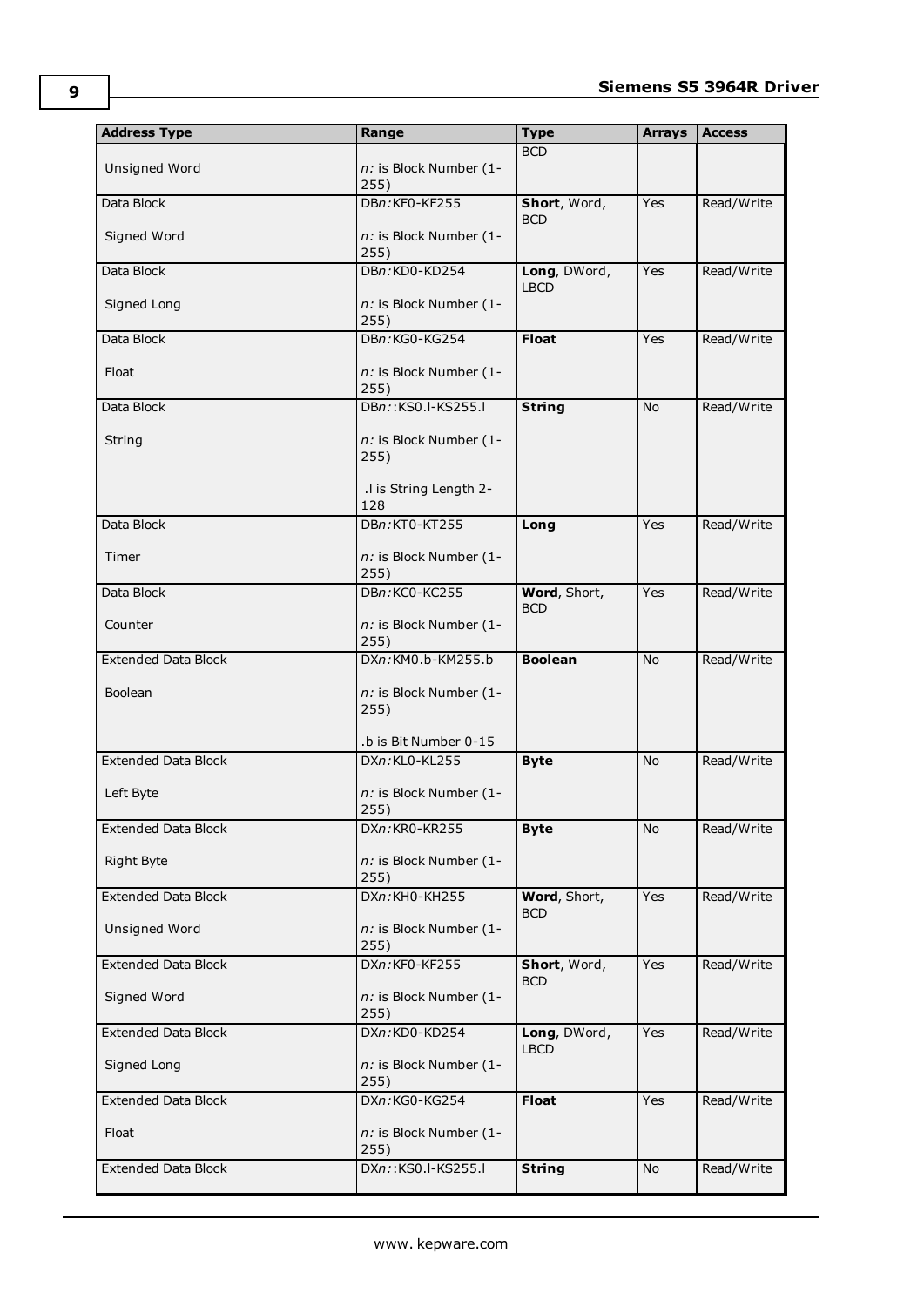| <b>Address Type</b>        | Range                          | <b>Type</b>                 | <b>Arrays</b> | <b>Access</b> |
|----------------------------|--------------------------------|-----------------------------|---------------|---------------|
| Unsigned Word              | n: is Block Number (1-<br>255) | <b>BCD</b>                  |               |               |
| Data Block                 | DBn:KF0-KF255                  | Short, Word,<br><b>BCD</b>  | Yes           | Read/Write    |
| Signed Word                | n: is Block Number (1-<br>255) |                             |               |               |
| Data Block                 | DBn:KD0-KD254                  | Long, DWord,<br><b>LBCD</b> | Yes           | Read/Write    |
| Signed Long                | n: is Block Number (1-<br>255) |                             |               |               |
| Data Block                 | DBn:KG0-KG254                  | <b>Float</b>                | Yes           | Read/Write    |
| Float                      | n: is Block Number (1-<br>255) |                             |               |               |
| Data Block                 | DBn::KS0.I-KS255.I             | <b>String</b>               | <b>No</b>     | Read/Write    |
| String                     | n: is Block Number (1-<br>255) |                             |               |               |
|                            | .I is String Length 2-<br>128  |                             |               |               |
| Data Block                 | DBn:KT0-KT255                  | Long                        | Yes           | Read/Write    |
| Timer                      | n: is Block Number (1-<br>255) |                             |               |               |
| Data Block                 | DBn:KC0-KC255                  | Word, Short,<br><b>BCD</b>  | Yes           | Read/Write    |
| Counter                    | n: is Block Number (1-<br>255) |                             |               |               |
| <b>Extended Data Block</b> | DXn:KM0.b-KM255.b              | <b>Boolean</b>              | <b>No</b>     | Read/Write    |
| <b>Boolean</b>             | n: is Block Number (1-<br>255) |                             |               |               |
|                            | .b is Bit Number 0-15          |                             |               |               |
| <b>Extended Data Block</b> | DXn:KL0-KL255                  | <b>Byte</b>                 | <b>No</b>     | Read/Write    |
| Left Byte                  | n: is Block Number (1-<br>255) |                             |               |               |
| <b>Extended Data Block</b> | DXn:KR0-KR255                  | <b>Byte</b>                 | No            | Read/Write    |
| Right Byte                 | n: is Block Number (1-<br>255) |                             |               |               |
| <b>Extended Data Block</b> | DXn:KH0-KH255                  | Word, Short,<br><b>BCD</b>  | Yes           | Read/Write    |
| Unsigned Word              | n: is Block Number (1-<br>255) |                             |               |               |
| <b>Extended Data Block</b> | DXn:KF0-KF255                  | Short, Word,<br><b>BCD</b>  | Yes           | Read/Write    |
| Signed Word                | n: is Block Number (1-<br>255) |                             |               |               |
| <b>Extended Data Block</b> | DXn:KD0-KD254                  | Long, DWord,<br><b>LBCD</b> | Yes           | Read/Write    |
| Signed Long                | n: is Block Number (1-<br>255) |                             |               |               |
| <b>Extended Data Block</b> | DXn:KG0-KG254                  | <b>Float</b>                | Yes           | Read/Write    |
| Float                      | n: is Block Number (1-<br>255) |                             |               |               |
| <b>Extended Data Block</b> | DXn::KS0.I-KS255.I             | <b>String</b>               | No            | Read/Write    |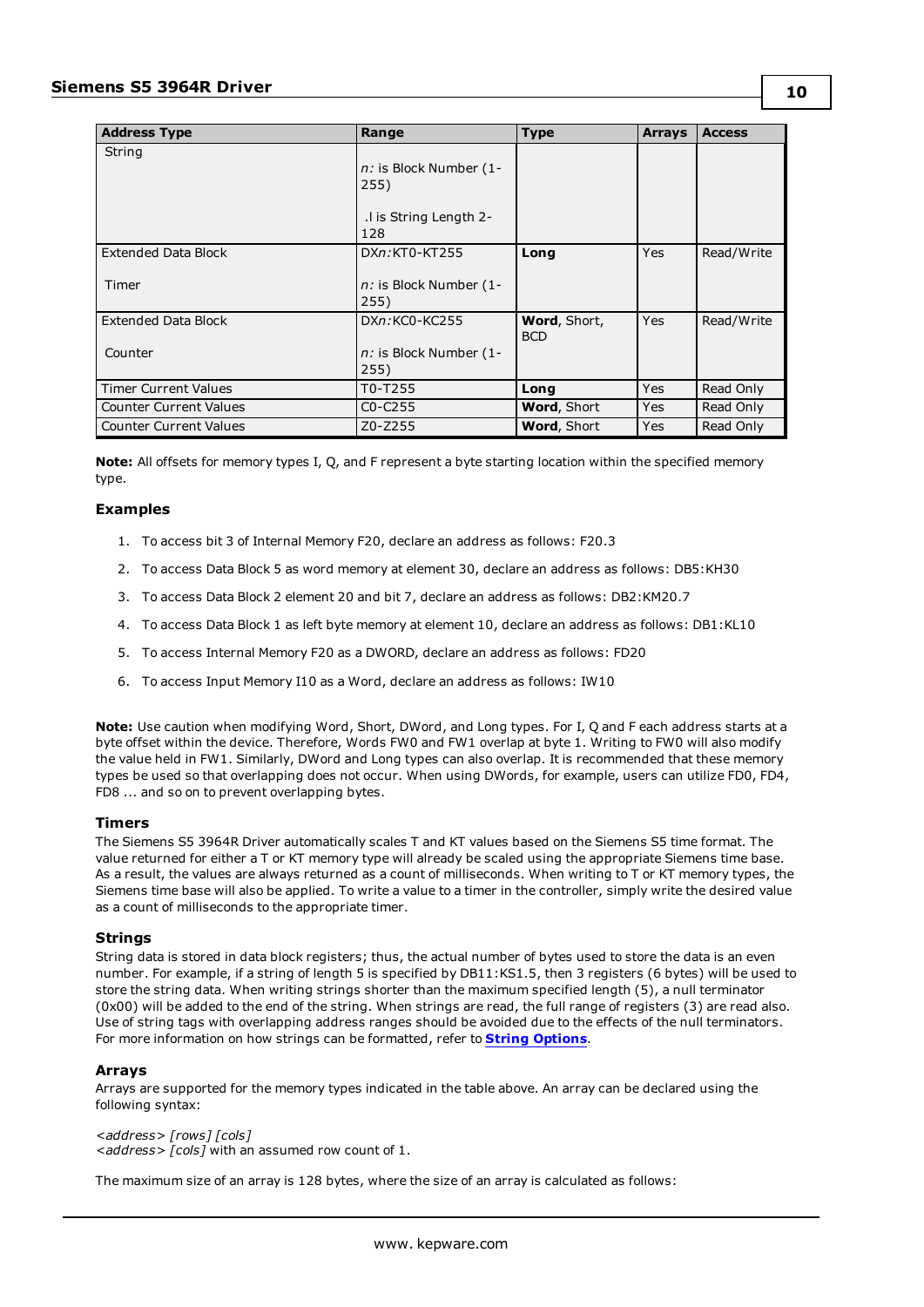| <b>Address Type</b>           | Range                                                            | <b>Type</b>                | <b>Arrays</b> | <b>Access</b> |
|-------------------------------|------------------------------------------------------------------|----------------------------|---------------|---------------|
| String                        | n: is Block Number (1-<br>255)<br>. I is String Length 2-<br>128 |                            |               |               |
| <b>Extended Data Block</b>    | DXn:KT0-KT255                                                    | Long                       | <b>Yes</b>    | Read/Write    |
| Timer                         | n: is Block Number (1-<br>255)                                   |                            |               |               |
| <b>Extended Data Block</b>    | DXn:KC0-KC255                                                    | Word, Short,<br><b>BCD</b> | Yes           | Read/Write    |
| Counter                       | n: is Block Number (1-<br>255)                                   |                            |               |               |
| <b>Timer Current Values</b>   | T0-T255                                                          | Long                       | Yes           | Read Only     |
| <b>Counter Current Values</b> | $CO-C255$                                                        | <b>Word, Short</b>         | Yes           | Read Only     |
| <b>Counter Current Values</b> | Z0-Z255                                                          | Word, Short                | <b>Yes</b>    | Read Only     |

**Note:** All offsets for memory types I, Q, and F represent a byte starting location within the specified memory type.

### **Examples**

- 1. To access bit 3 of Internal Memory F20, declare an address as follows: F20.3
- 2. To access Data Block 5 as word memory at element 30, declare an address as follows: DB5:KH30
- 3. To access Data Block 2 element 20 and bit 7, declare an address as follows: DB2:KM20.7
- 4. To access Data Block 1 as left byte memory at element 10, declare an address as follows: DB1:KL10
- 5. To access Internal Memory F20 as a DWORD, declare an address as follows: FD20
- 6. To access Input Memory I10 as a Word, declare an address as follows: IW10

**Note:** Use caution when modifying Word, Short, DWord, and Long types. For I, Q and F each address starts at a byte offset within the device. Therefore, Words FW0 and FW1 overlap at byte 1. Writing to FW0 will also modify the value held in FW1. Similarly, DWord and Long types can also overlap. It is recommended that these memory types be used so that overlapping does not occur. When using DWords, for example, users can utilize FD0, FD4, FD8 ... and so on to prevent overlapping bytes.

#### **Timers**

The Siemens S5 3964R Driver automatically scales T and KT values based on the Siemens S5 time format. The value returned for either a T or KT memory type will already be scaled using the appropriate Siemens time base. As a result, the values are always returned as a count of milliseconds. When writing to T or KT memory types, the Siemens time base will also be applied. To write a value to a timer in the controller, simply write the desired value as a count of milliseconds to the appropriate timer.

#### **Strings**

String data is stored in data block registers; thus, the actual number of bytes used to store the data is an even number. For example, if a string of length 5 is specified by DB11:KS1.5, then 3 registers (6 bytes) will be used to store the string data. When writing strings shorter than the maximum specified length (5), a null terminator (0x00) will be added to the end of the string. When strings are read, the full range of registers (3) are read also. Use of string tags with overlapping address ranges should be avoided due to the effects of the null terminators. For more information on how strings can be formatted, refer to **String [Options](#page-5-0)**.

#### **Arrays**

Arrays are supported for the memory types indicated in the table above. An array can be declared using the following syntax:

*<address> [rows] [cols] <address> [cols]* with an assumed row count of 1.

The maximum size of an array is 128 bytes, where the size of an array is calculated as follows: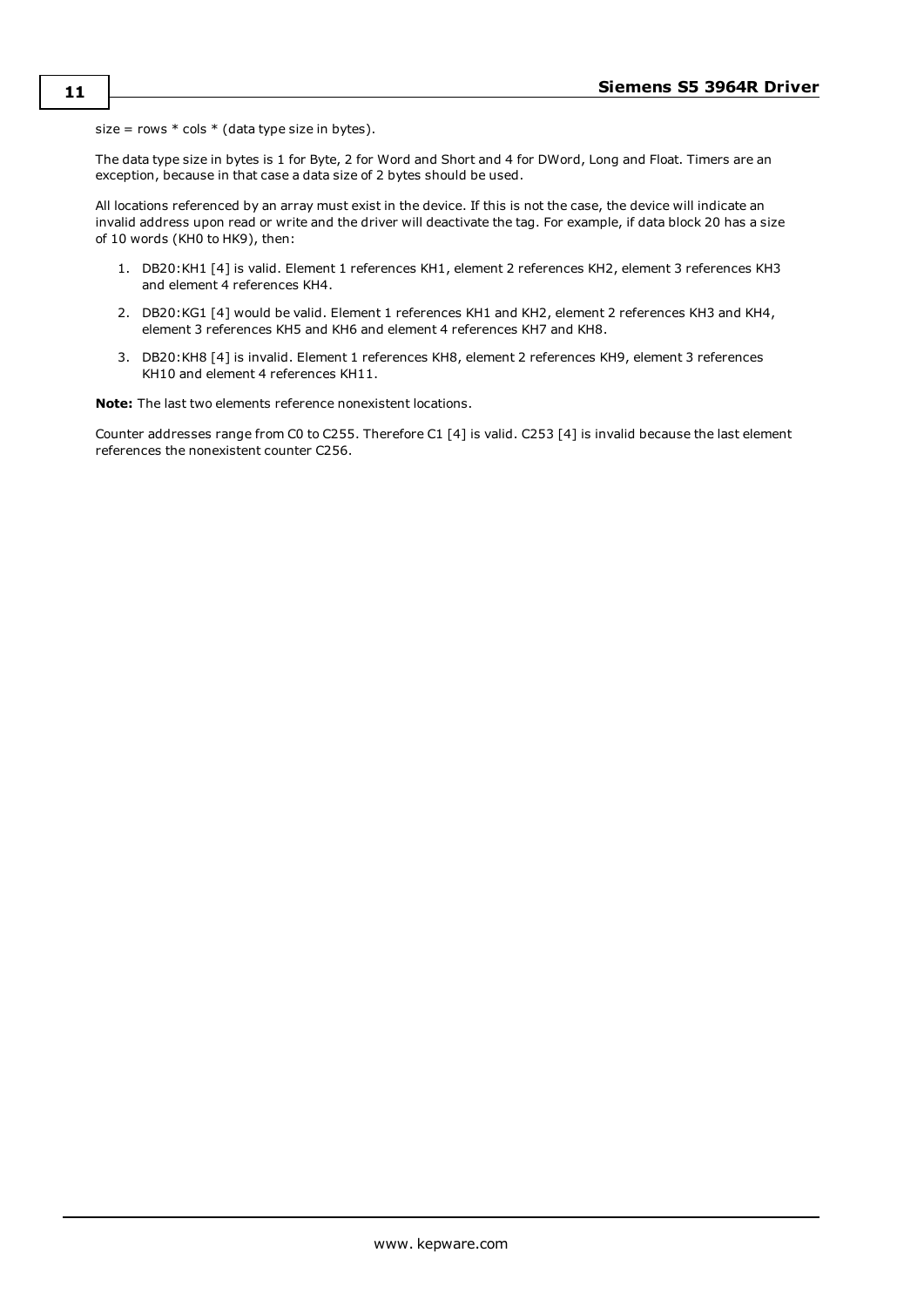size = rows  $*$  cols  $*$  (data type size in bytes).

The data type size in bytes is 1 for Byte, 2 for Word and Short and 4 for DWord, Long and Float. Timers are an exception, because in that case a data size of 2 bytes should be used.

All locations referenced by an array must exist in the device. If this is not the case, the device will indicate an invalid address upon read or write and the driver will deactivate the tag. For example, if data block 20 has a size of 10 words (KH0 to HK9), then:

- 1. DB20:KH1 [4] is valid. Element 1 references KH1, element 2 references KH2, element 3 references KH3 and element 4 references KH4.
- 2. DB20:KG1 [4] would be valid. Element 1 references KH1 and KH2, element 2 references KH3 and KH4, element 3 references KH5 and KH6 and element 4 references KH7 and KH8.
- 3. DB20:KH8 [4] is invalid. Element 1 references KH8, element 2 references KH9, element 3 references KH10 and element 4 references KH11.

**Note:** The last two elements reference nonexistent locations.

Counter addresses range from C0 to C255. Therefore C1 [4] is valid. C253 [4] is invalid because the last element references the nonexistent counter C256.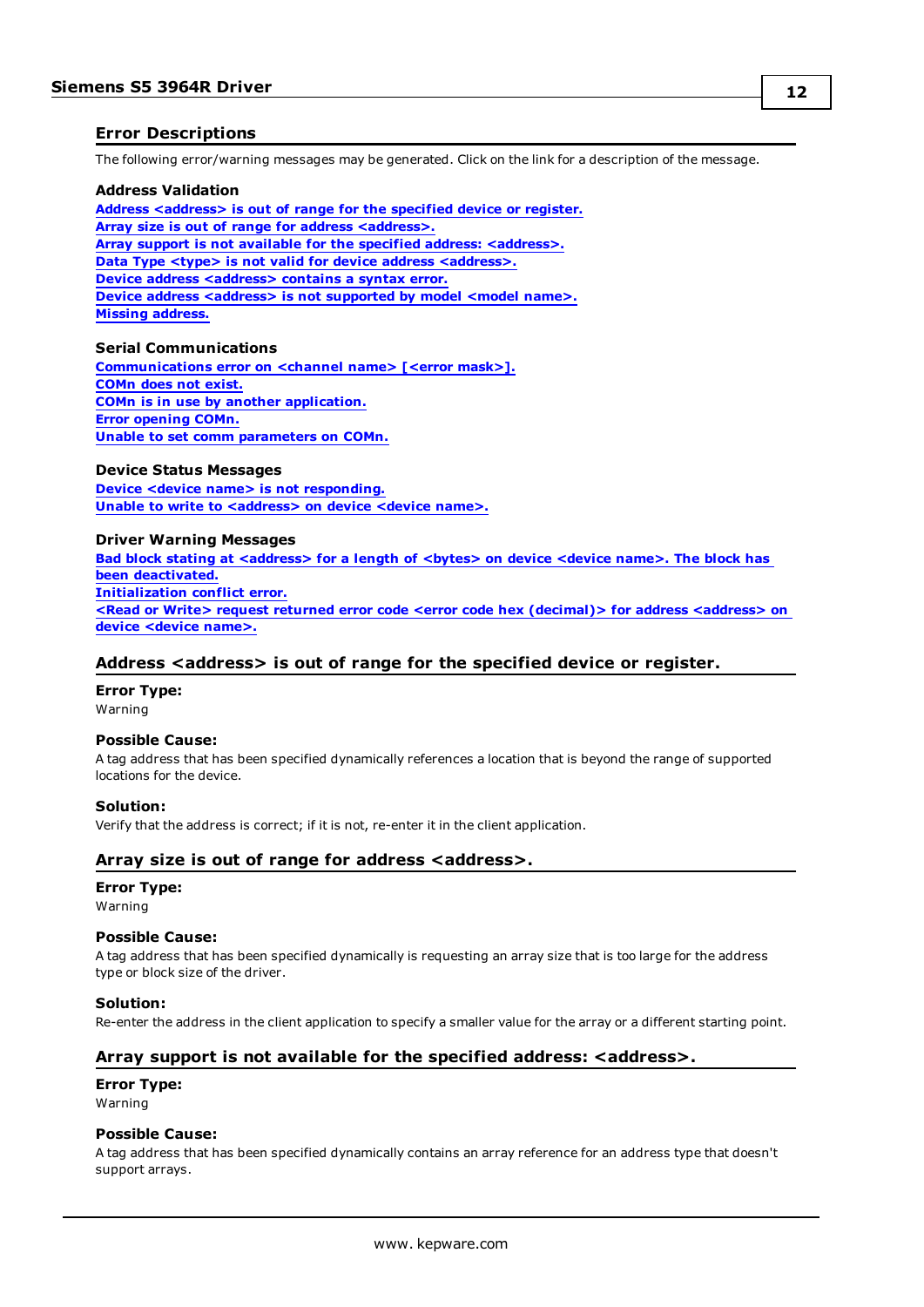## <span id="page-11-0"></span>**Error Descriptions**

The following error/warning messages may be generated. Click on the link for a description of the message.

#### **Address Validation**

**Address [<address>](#page-11-1) is out of range for the specified device or register. Array size is out of range for address [<address>.](#page-11-2) Array support is not available for the specified address: [<address>.](#page-11-3) Data Type <type> is not valid for device address [<address>.](#page-12-0) Device address [<address>](#page-12-1)** contains a syntax error. **Device** address [<address>](#page-12-2) is not supported by model <model name>. **Missing [address.](#page-12-3)**

#### **Serial Communications**

**[Communications](#page-12-4) error on <channel name> [<error mask>]. [COMn](#page-13-1) does not exist. COMn is in use by another [application.](#page-13-2) Error [opening](#page-13-3) COMn. Unable to set comm [parameters](#page-13-4) on COMn.**

#### **Device Status Messages**

**Device <device name> is not [responding.](#page-14-0) Unable to write to [<address>](#page-14-1) on device <device name>.**

#### **Driver Warning Messages**

**Bad block stating at [<address>](#page-14-2) for a length of <bytes> on device <device name>. The block has been [deactivated.](#page-14-2) [Initialization](#page-15-0) conflict error. <Read or Write> request returned error code <error code hex [\(decimal\)>](#page-15-1) for address <address> on device [<device](#page-15-1) name>.**

#### <span id="page-11-1"></span>**Address <address> is out of range for the specified device or register.**

**Error Type:** Warning

#### **Possible Cause:**

A tag address that has been specified dynamically references a location that is beyond the range of supported locations for the device.

#### **Solution:**

<span id="page-11-2"></span>Verify that the address is correct; if it is not, re-enter it in the client application.

#### **Array size is out of range for address <address>.**

#### **Error Type:**

Warning

#### **Possible Cause:**

A tag address that has been specified dynamically is requesting an array size that is too large for the address type or block size of the driver.

#### **Solution:**

<span id="page-11-3"></span>Re-enter the address in the client application to specify a smaller value for the array or a different starting point.

#### **Array support is not available for the specified address: <address>.**

### **Error Type:**

Warning

#### **Possible Cause:**

A tag address that has been specified dynamically contains an array reference for an address type that doesn't support arrays.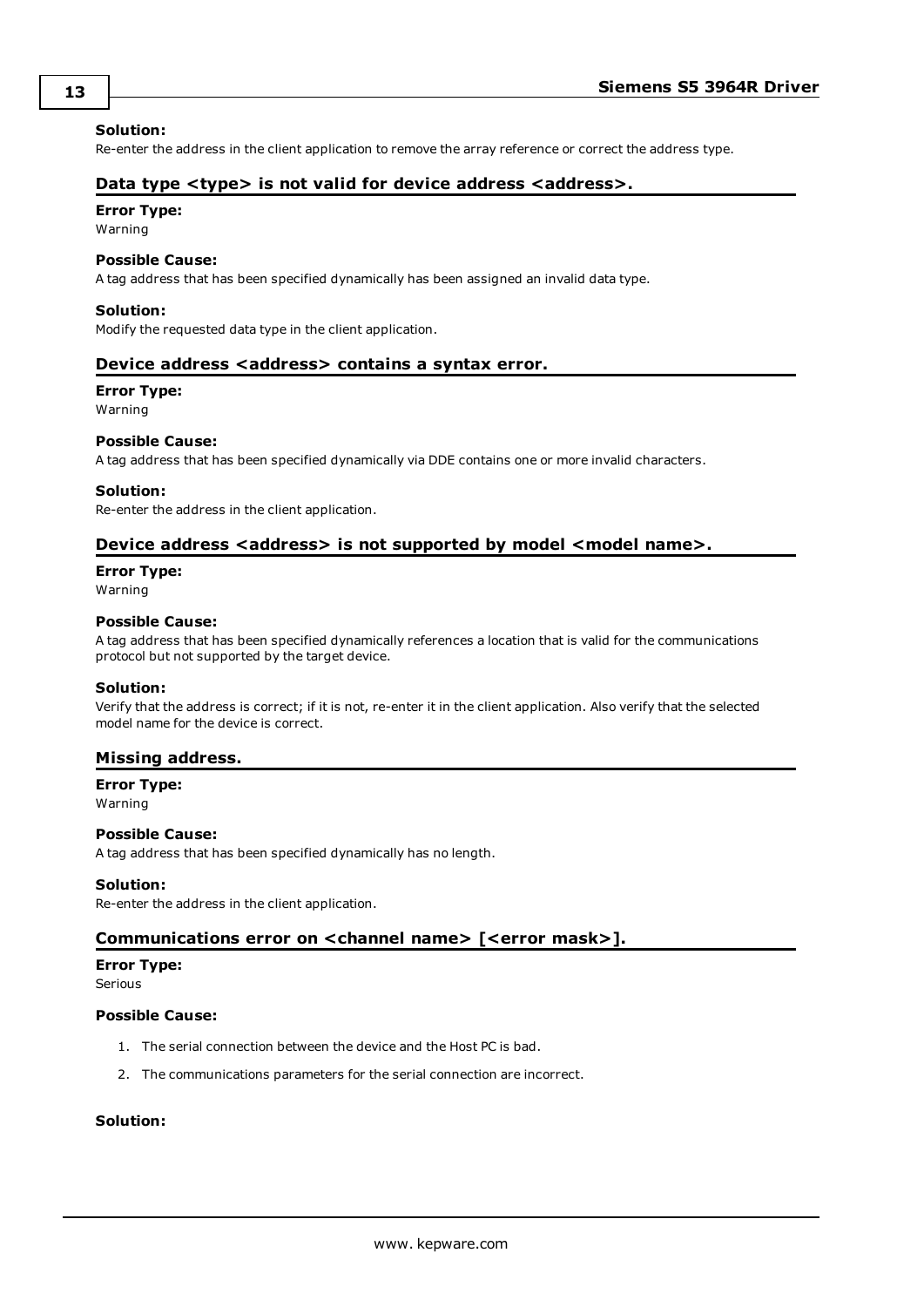#### **Solution:**

<span id="page-12-0"></span>Re-enter the address in the client application to remove the array reference or correct the address type.

#### **Data type <type> is not valid for device address <address>.**

## **Error Type:**

Warning

#### **Possible Cause:**

A tag address that has been specified dynamically has been assigned an invalid data type.

#### **Solution:**

<span id="page-12-1"></span>Modify the requested data type in the client application.

#### **Device address <address> contains a syntax error.**

#### **Error Type:**

Warning

#### **Possible Cause:**

A tag address that has been specified dynamically via DDE contains one or more invalid characters.

#### **Solution:**

<span id="page-12-2"></span>Re-enter the address in the client application.

#### **Device address <address> is not supported by model <model name>.**

# **Error Type:**

Warning

#### **Possible Cause:**

A tag address that has been specified dynamically references a location that is valid for the communications protocol but not supported by the target device.

#### **Solution:**

Verify that the address is correct; if it is not, re-enter it in the client application. Also verify that the selected model name for the device is correct.

#### <span id="page-12-3"></span>**Missing address.**

**Error Type:**

Warning

#### **Possible Cause:**

A tag address that has been specified dynamically has no length.

#### **Solution:**

<span id="page-12-4"></span>Re-enter the address in the client application.

#### **Communications error on <channel name> [<error mask>].**

#### **Error Type:**

Serious

#### **Possible Cause:**

- 1. The serial connection between the device and the Host PC is bad.
- 2. The communications parameters for the serial connection are incorrect.

#### **Solution:**

**13**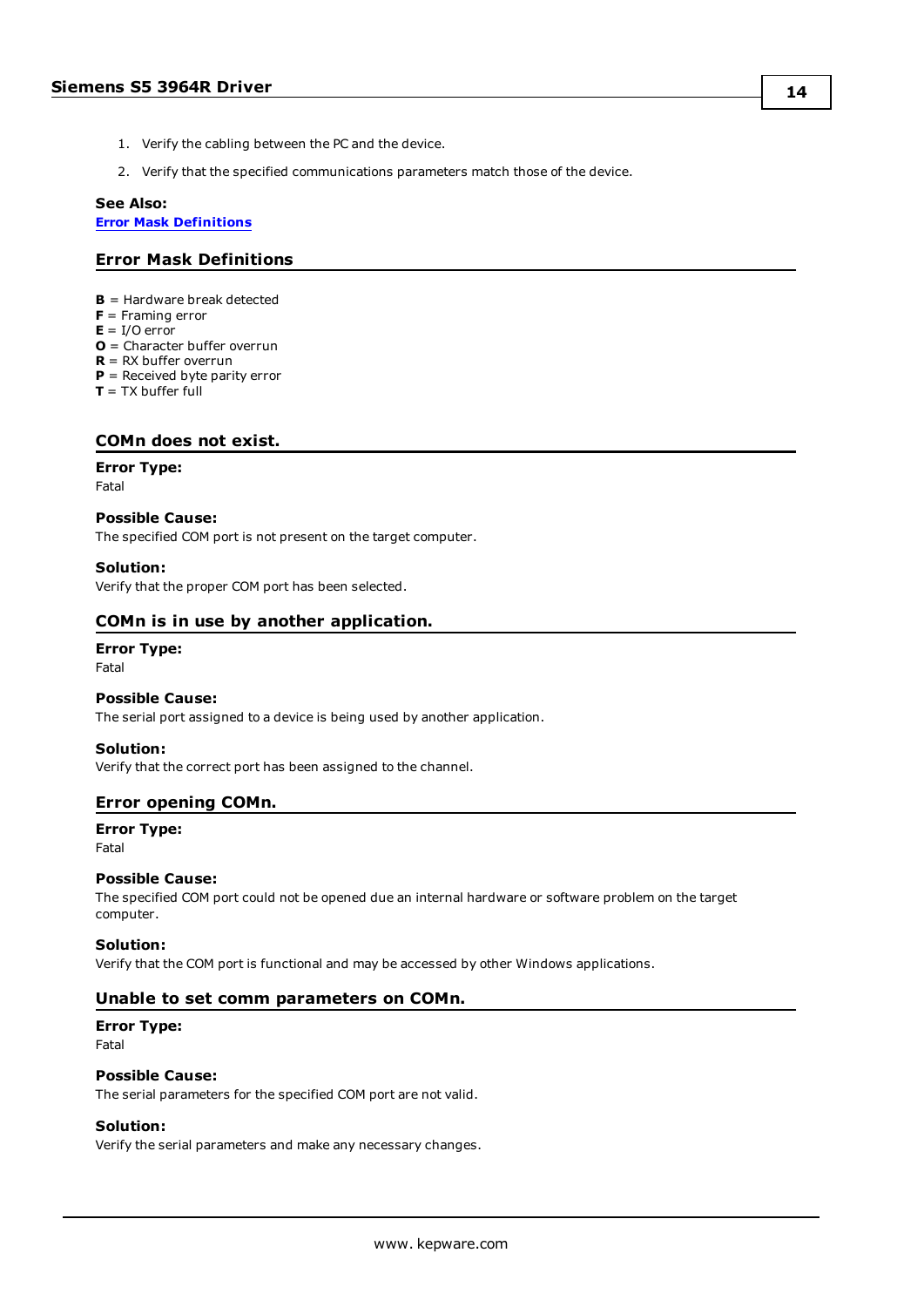- 1. Verify the cabling between the PC and the device.
- 2. Verify that the specified communications parameters match those of the device.

#### **See Also:**

<span id="page-13-0"></span>**Error Mask [Definitions](#page-13-0)**

# **Error Mask Definitions**

- **B** = Hardware break detected
- **F** = Framing error
- $E = I/O$  error
- **O** = Character buffer overrun
- **R** = RX buffer overrun
- **P** = Received byte parity error
- **T** = TX buffer full

#### <span id="page-13-1"></span>**COMn does not exist.**

#### **Error Type:**

Fatal

#### **Possible Cause:**

The specified COM port is not present on the target computer.

#### **Solution:**

<span id="page-13-2"></span>Verify that the proper COM port has been selected.

#### **COMn is in use by another application.**

# **Error Type:**

Fatal

#### **Possible Cause:**

The serial port assigned to a device is being used by another application.

#### **Solution:**

<span id="page-13-3"></span>Verify that the correct port has been assigned to the channel.

#### **Error opening COMn.**

#### **Error Type:**

Fatal

#### **Possible Cause:**

The specified COM port could not be opened due an internal hardware or software problem on the target computer.

#### **Solution:**

<span id="page-13-4"></span>Verify that the COM port is functional and may be accessed by other Windows applications.

### **Unable to set comm parameters on COMn.**

# **Error Type:**

Fatal

#### **Possible Cause:**

The serial parameters for the specified COM port are not valid.

#### **Solution:**

Verify the serial parameters and make any necessary changes.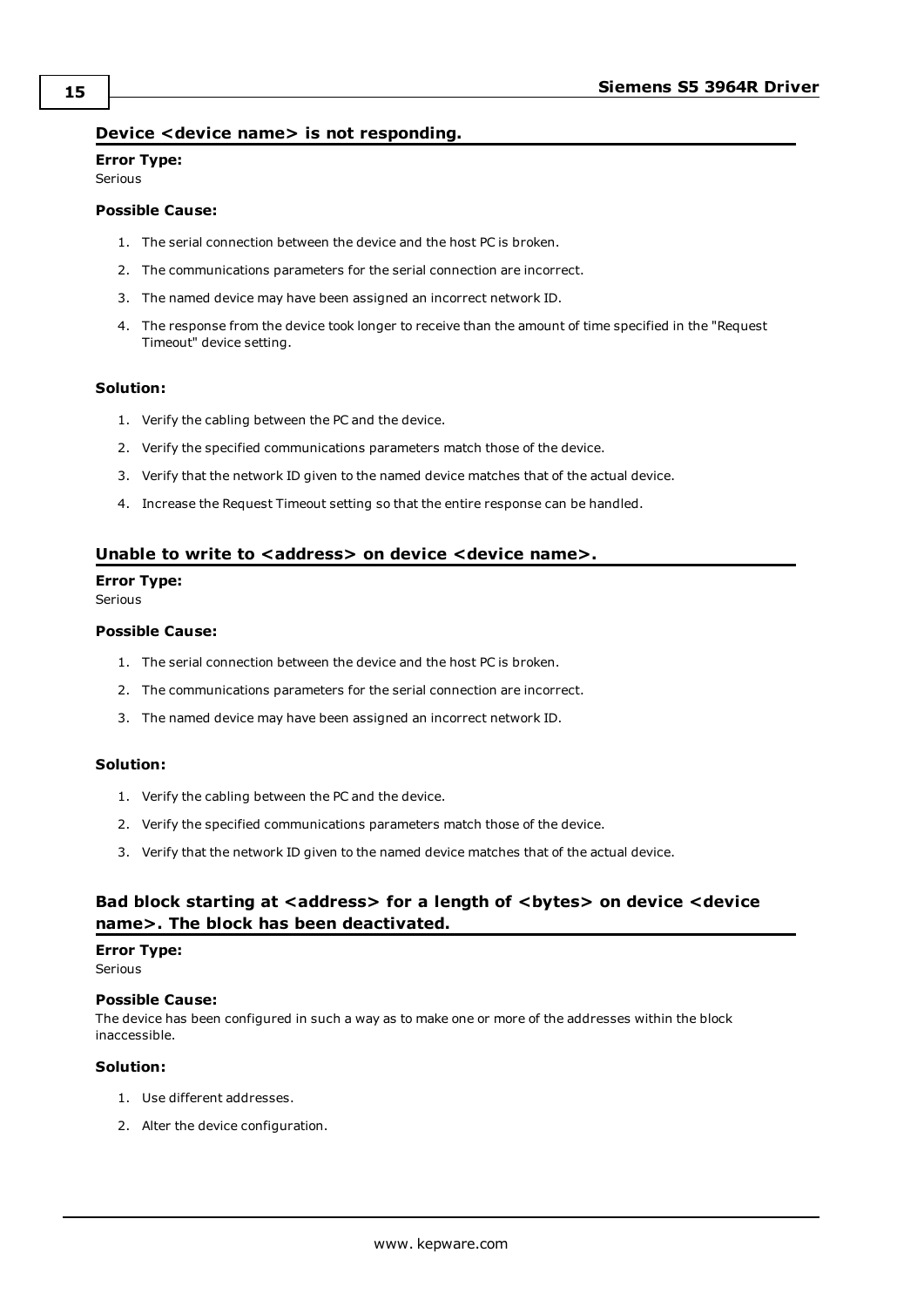## <span id="page-14-0"></span>**Device <device name> is not responding.**

#### **Error Type:** Serious

### **Possible Cause:**

- 1. The serial connection between the device and the host PC is broken.
- 2. The communications parameters for the serial connection are incorrect.
- 3. The named device may have been assigned an incorrect network ID.
- 4. The response from the device took longer to receive than the amount of time specified in the "Request Timeout" device setting.

#### **Solution:**

- 1. Verify the cabling between the PC and the device.
- 2. Verify the specified communications parameters match those of the device.
- 3. Verify that the network ID given to the named device matches that of the actual device.
- 4. Increase the Request Timeout setting so that the entire response can be handled.

#### <span id="page-14-1"></span>**Unable to write to <address> on device <device name>.**

#### **Error Type:**

Serious

#### **Possible Cause:**

- 1. The serial connection between the device and the host PC is broken.
- 2. The communications parameters for the serial connection are incorrect.
- 3. The named device may have been assigned an incorrect network ID.

#### **Solution:**

- 1. Verify the cabling between the PC and the device.
- 2. Verify the specified communications parameters match those of the device.
- 3. Verify that the network ID given to the named device matches that of the actual device.

# <span id="page-14-2"></span>**Bad block starting at <address> for a length of <bytes> on device <device name>. The block has been deactivated.**

#### **Error Type:**

**Serious** 

#### **Possible Cause:**

The device has been configured in such a way as to make one or more of the addresses within the block inaccessible.

#### **Solution:**

- 1. Use different addresses.
- 2. Alter the device configuration.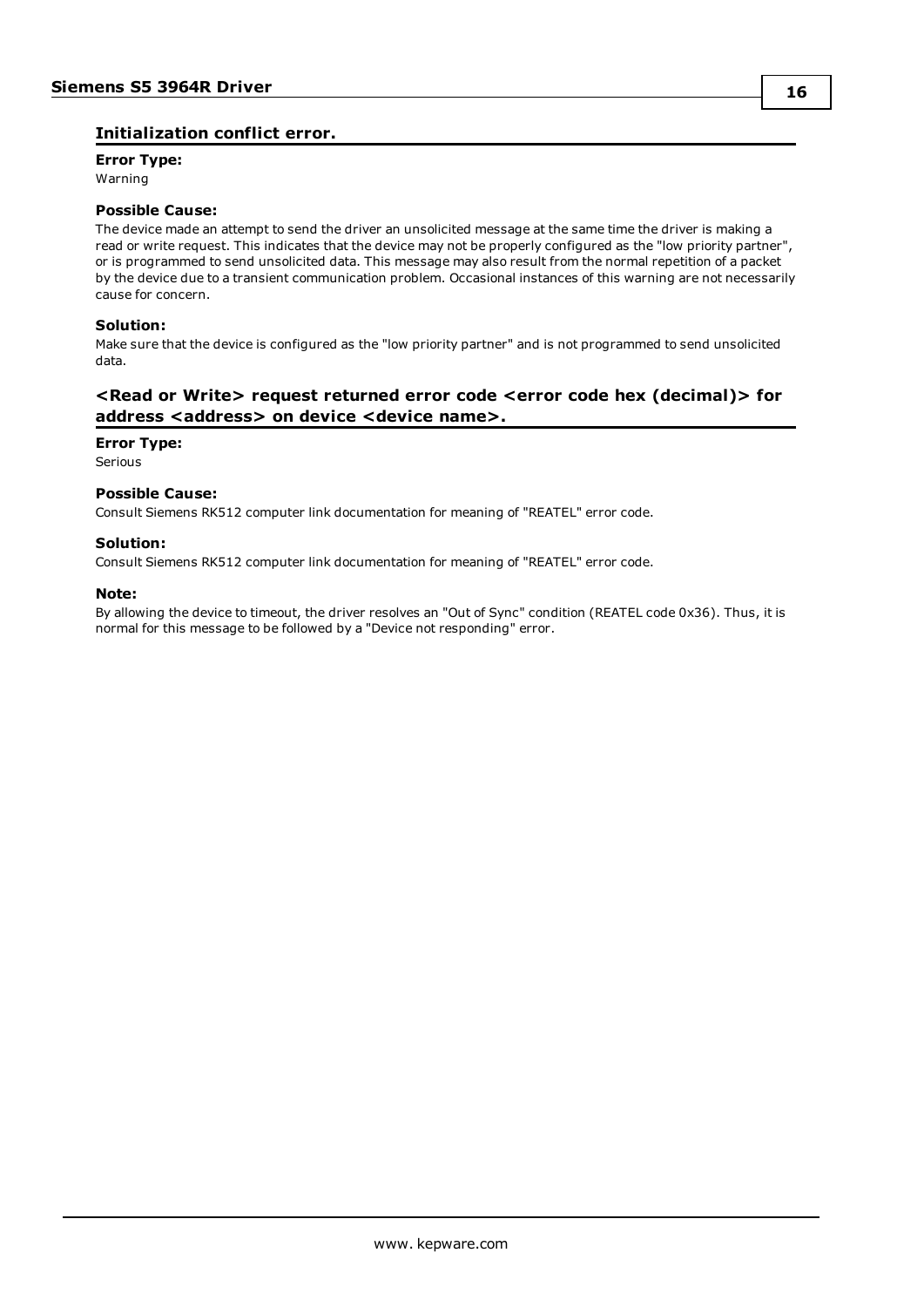# <span id="page-15-0"></span>**Initialization conflict error.**

**Error Type:** Warning

#### **Possible Cause:**

The device made an attempt to send the driver an unsolicited message at the same time the driver is making a read or write request. This indicates that the device may not be properly configured as the "low priority partner", or is programmed to send unsolicited data. This message may also result from the normal repetition of a packet by the device due to a transient communication problem. Occasional instances of this warning are not necessarily cause for concern.

#### **Solution:**

Make sure that the device is configured as the "low priority partner" and is not programmed to send unsolicited data.

# <span id="page-15-1"></span>**<Read or Write> request returned error code <error code hex (decimal)> for address <address> on device <device name>.**

#### **Error Type:**

Serious

#### **Possible Cause:**

Consult Siemens RK512 computer link documentation for meaning of "REATEL" error code.

#### **Solution:**

Consult Siemens RK512 computer link documentation for meaning of "REATEL" error code.

#### **Note:**

By allowing the device to timeout, the driver resolves an "Out of Sync" condition (REATEL code 0x36). Thus, it is normal for this message to be followed by a "Device not responding" error.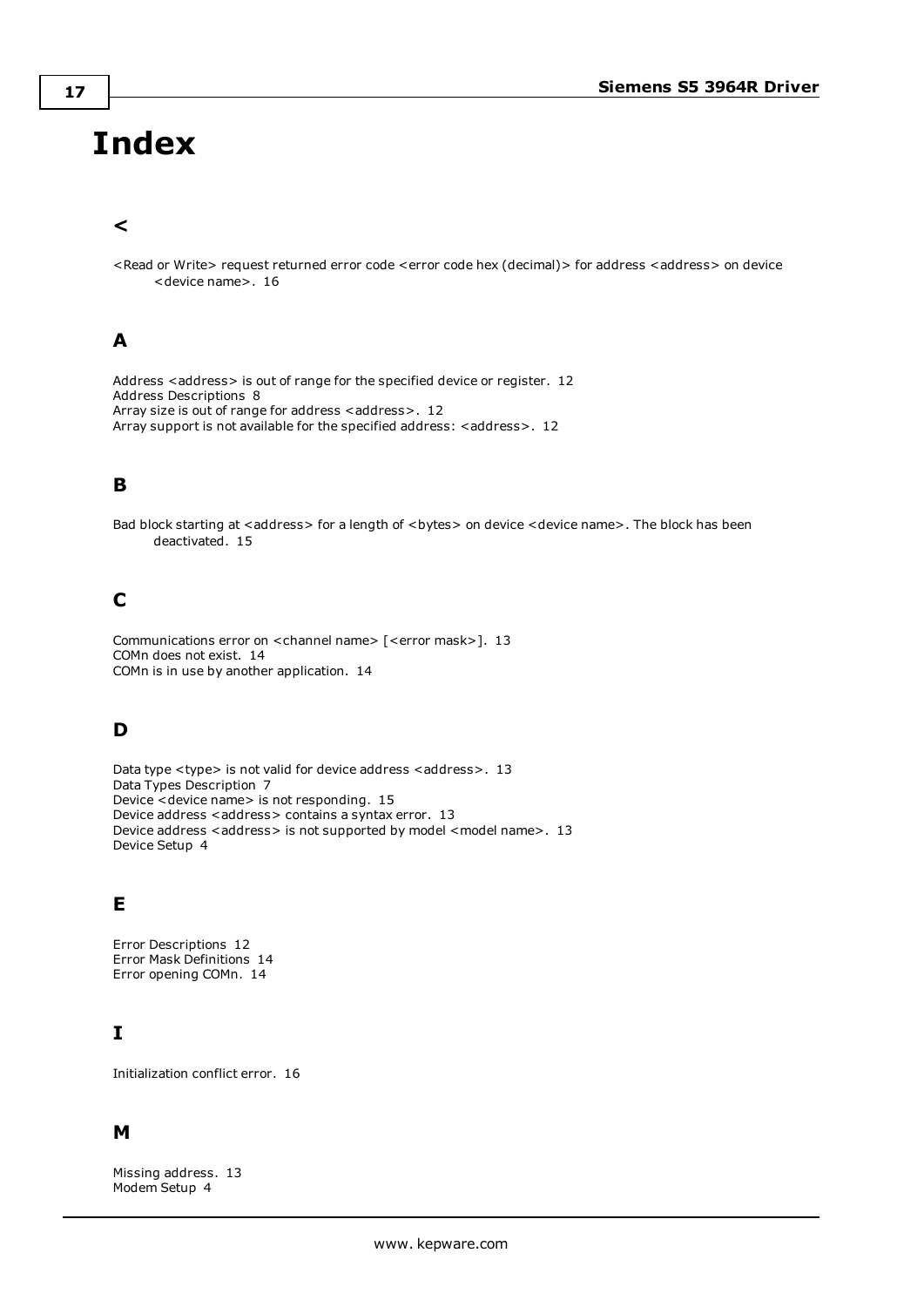# <span id="page-16-0"></span>**Index**

# **<**

<Read or Write> request returned error code <error code hex (decimal)> for address <address> on device <device name>. [16](#page-15-1)

# **A**

Address <address> is out of range for the specified device or register. [12](#page-11-1) Address Descriptions [8](#page-7-0) Array size is out of range for address <address>. [12](#page-11-2) Array support is not available for the specified address: <address>. [12](#page-11-3)

# **B**

Bad block starting at <address> for a length of <br/> <br/>bytes> on device <device name>. The block has been deactivated. [15](#page-14-2)

# **C**

Communications error on <channel name> [<error mask>]. [13](#page-12-4) COMn does not exist. [14](#page-13-1) COMn is in use by another application. [14](#page-13-2)

# **D**

Data type <type> is not valid for device address <address>. [13](#page-12-0) Data Types Description [7](#page-6-0) Device <device name> is not responding. [15](#page-14-0) Device address <address> contains a syntax error. [13](#page-12-1) Device address <address> is not supported by model <model name>. [13](#page-12-2) Device Setup [4](#page-3-0)

# **E**

Error Descriptions [12](#page-11-0) Error Mask Definitions [14](#page-13-0) Error opening COMn. [14](#page-13-3)

# **I**

Initialization conflict error. [16](#page-15-0)

# **M**

Missing address. [13](#page-12-3) Modem Setup [4](#page-3-1)